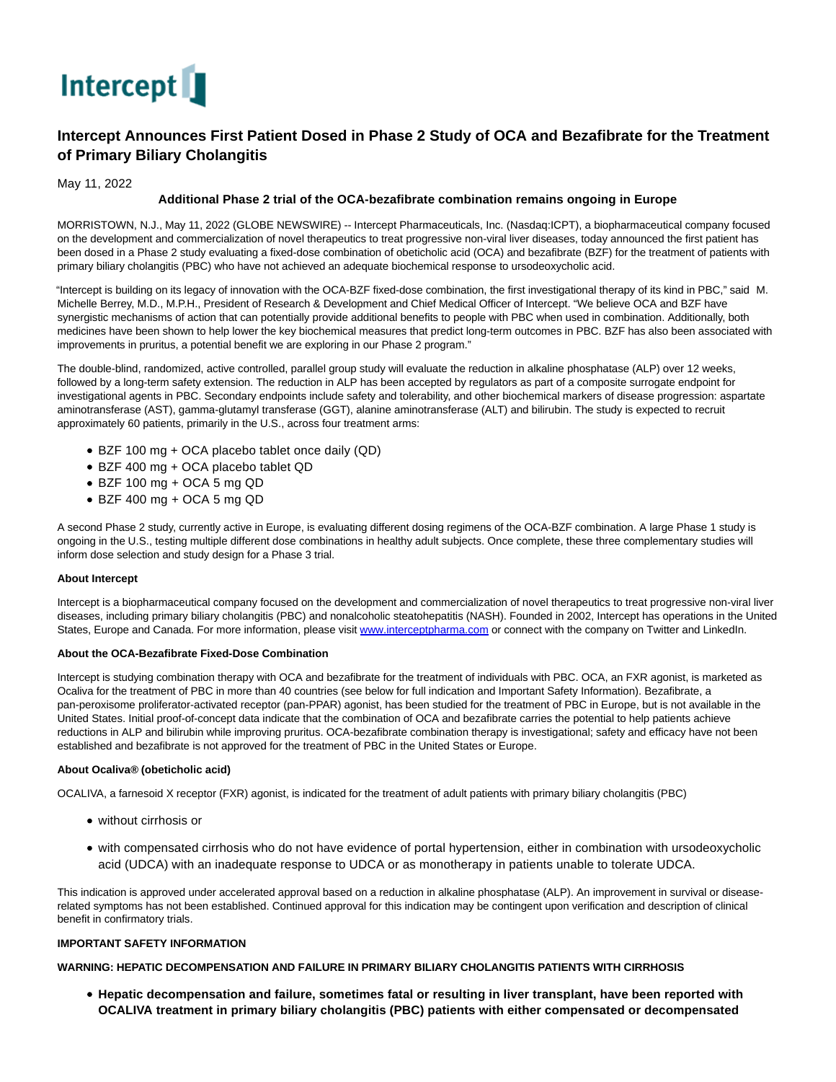

# **Intercept Announces First Patient Dosed in Phase 2 Study of OCA and Bezafibrate for the Treatment of Primary Biliary Cholangitis**

May 11, 2022

## **Additional Phase 2 trial of the OCA-bezafibrate combination remains ongoing in Europe**

MORRISTOWN, N.J., May 11, 2022 (GLOBE NEWSWIRE) -- Intercept Pharmaceuticals, Inc. (Nasdaq:ICPT), a biopharmaceutical company focused on the development and commercialization of novel therapeutics to treat progressive non-viral liver diseases, today announced the first patient has been dosed in a Phase 2 study evaluating a fixed-dose combination of obeticholic acid (OCA) and bezafibrate (BZF) for the treatment of patients with primary biliary cholangitis (PBC) who have not achieved an adequate biochemical response to ursodeoxycholic acid.

"Intercept is building on its legacy of innovation with the OCA-BZF fixed-dose combination, the first investigational therapy of its kind in PBC," said M. Michelle Berrey, M.D., M.P.H., President of Research & Development and Chief Medical Officer of Intercept. "We believe OCA and BZF have synergistic mechanisms of action that can potentially provide additional benefits to people with PBC when used in combination. Additionally, both medicines have been shown to help lower the key biochemical measures that predict long-term outcomes in PBC. BZF has also been associated with improvements in pruritus, a potential benefit we are exploring in our Phase 2 program."

The double-blind, randomized, active controlled, parallel group study will evaluate the reduction in alkaline phosphatase (ALP) over 12 weeks, followed by a long-term safety extension. The reduction in ALP has been accepted by regulators as part of a composite surrogate endpoint for investigational agents in PBC. Secondary endpoints include safety and tolerability, and other biochemical markers of disease progression: aspartate aminotransferase (AST), gamma-glutamyl transferase (GGT), alanine aminotransferase (ALT) and bilirubin. The study is expected to recruit approximately 60 patients, primarily in the U.S., across four treatment arms:

- BZF 100 mg + OCA placebo tablet once daily (QD)
- BZF 400 mg + OCA placebo tablet QD
- $\bullet$  BZF 100 mg + OCA 5 mg QD
- $\bullet$  BZF 400 mg + OCA 5 mg QD

A second Phase 2 study, currently active in Europe, is evaluating different dosing regimens of the OCA-BZF combination. A large Phase 1 study is ongoing in the U.S., testing multiple different dose combinations in healthy adult subjects. Once complete, these three complementary studies will inform dose selection and study design for a Phase 3 trial.

## **About Intercept**

Intercept is a biopharmaceutical company focused on the development and commercialization of novel therapeutics to treat progressive non-viral liver diseases, including primary biliary cholangitis (PBC) and nonalcoholic steatohepatitis (NASH). Founded in 2002, Intercept has operations in the United States, Europe and Canada. For more information, please visit www.interceptoharma.com or connect with the company on Twitter and LinkedIn.

#### **About the OCA-Bezafibrate Fixed-Dose Combination**

Intercept is studying combination therapy with OCA and bezafibrate for the treatment of individuals with PBC. OCA, an FXR agonist, is marketed as Ocaliva for the treatment of PBC in more than 40 countries (see below for full indication and Important Safety Information). Bezafibrate, a pan-peroxisome proliferator-activated receptor (pan-PPAR) agonist, has been studied for the treatment of PBC in Europe, but is not available in the United States. Initial proof-of-concept data indicate that the combination of OCA and bezafibrate carries the potential to help patients achieve reductions in ALP and bilirubin while improving pruritus. OCA-bezafibrate combination therapy is investigational; safety and efficacy have not been established and bezafibrate is not approved for the treatment of PBC in the United States or Europe.

## **About Ocaliva® (obeticholic acid)**

OCALIVA, a farnesoid X receptor (FXR) agonist, is indicated for the treatment of adult patients with primary biliary cholangitis (PBC)

- without cirrhosis or
- with compensated cirrhosis who do not have evidence of portal hypertension, either in combination with ursodeoxycholic acid (UDCA) with an inadequate response to UDCA or as monotherapy in patients unable to tolerate UDCA.

This indication is approved under accelerated approval based on a reduction in alkaline phosphatase (ALP). An improvement in survival or diseaserelated symptoms has not been established. Continued approval for this indication may be contingent upon verification and description of clinical benefit in confirmatory trials.

## **IMPORTANT SAFETY INFORMATION**

**WARNING: HEPATIC DECOMPENSATION AND FAILURE IN PRIMARY BILIARY CHOLANGITIS PATIENTS WITH CIRRHOSIS**

**Hepatic decompensation and failure, sometimes fatal or resulting in liver transplant, have been reported with OCALIVA treatment in primary biliary cholangitis (PBC) patients with either compensated or decompensated**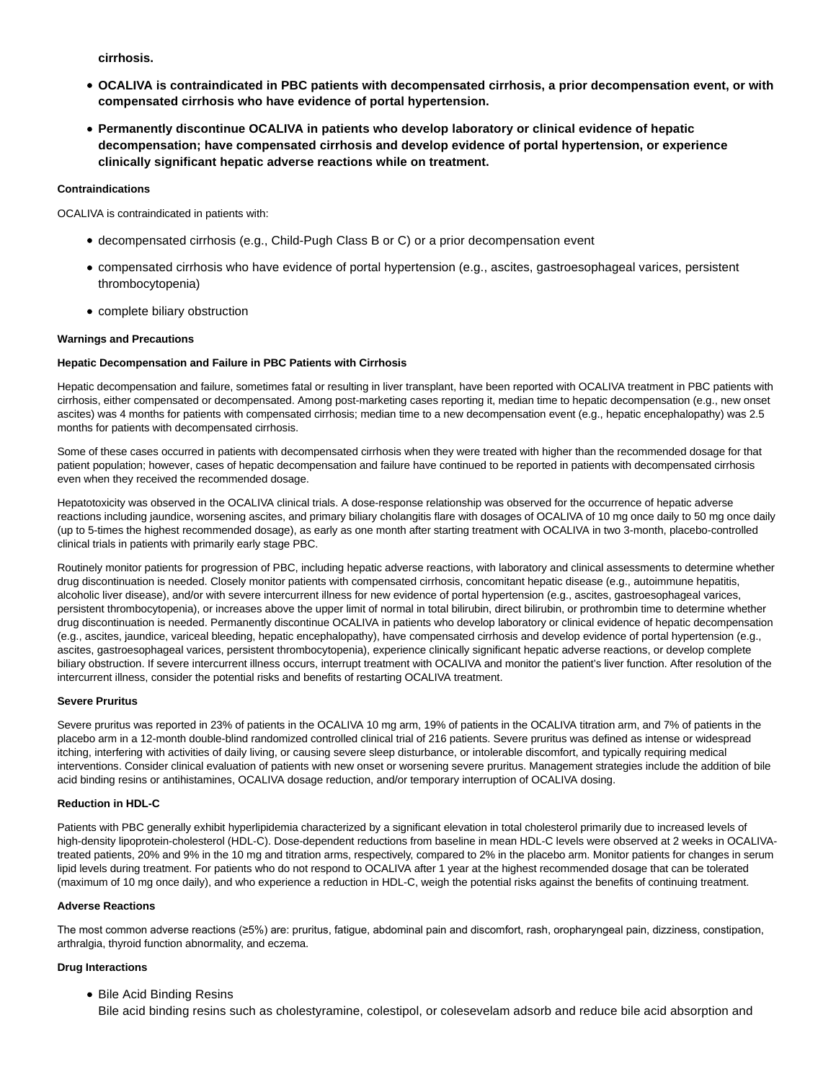**cirrhosis.**

- **OCALIVA is contraindicated in PBC patients with decompensated cirrhosis, a prior decompensation event, or with compensated cirrhosis who have evidence of portal hypertension.**
- **Permanently discontinue OCALIVA in patients who develop laboratory or clinical evidence of hepatic decompensation; have compensated cirrhosis and develop evidence of portal hypertension, or experience clinically significant hepatic adverse reactions while on treatment.**

## **Contraindications**

OCALIVA is contraindicated in patients with:

- decompensated cirrhosis (e.g., Child-Pugh Class B or C) or a prior decompensation event
- compensated cirrhosis who have evidence of portal hypertension (e.g., ascites, gastroesophageal varices, persistent thrombocytopenia)
- complete biliary obstruction

## **Warnings and Precautions**

## **Hepatic Decompensation and Failure in PBC Patients with Cirrhosis**

Hepatic decompensation and failure, sometimes fatal or resulting in liver transplant, have been reported with OCALIVA treatment in PBC patients with cirrhosis, either compensated or decompensated. Among post-marketing cases reporting it, median time to hepatic decompensation (e.g., new onset ascites) was 4 months for patients with compensated cirrhosis; median time to a new decompensation event (e.g., hepatic encephalopathy) was 2.5 months for patients with decompensated cirrhosis.

Some of these cases occurred in patients with decompensated cirrhosis when they were treated with higher than the recommended dosage for that patient population; however, cases of hepatic decompensation and failure have continued to be reported in patients with decompensated cirrhosis even when they received the recommended dosage.

Hepatotoxicity was observed in the OCALIVA clinical trials. A dose-response relationship was observed for the occurrence of hepatic adverse reactions including jaundice, worsening ascites, and primary biliary cholangitis flare with dosages of OCALIVA of 10 mg once daily to 50 mg once daily (up to 5-times the highest recommended dosage), as early as one month after starting treatment with OCALIVA in two 3-month, placebo-controlled clinical trials in patients with primarily early stage PBC.

Routinely monitor patients for progression of PBC, including hepatic adverse reactions, with laboratory and clinical assessments to determine whether drug discontinuation is needed. Closely monitor patients with compensated cirrhosis, concomitant hepatic disease (e.g., autoimmune hepatitis, alcoholic liver disease), and/or with severe intercurrent illness for new evidence of portal hypertension (e.g., ascites, gastroesophageal varices, persistent thrombocytopenia), or increases above the upper limit of normal in total bilirubin, direct bilirubin, or prothrombin time to determine whether drug discontinuation is needed. Permanently discontinue OCALIVA in patients who develop laboratory or clinical evidence of hepatic decompensation (e.g., ascites, jaundice, variceal bleeding, hepatic encephalopathy), have compensated cirrhosis and develop evidence of portal hypertension (e.g., ascites, gastroesophageal varices, persistent thrombocytopenia), experience clinically significant hepatic adverse reactions, or develop complete biliary obstruction. If severe intercurrent illness occurs, interrupt treatment with OCALIVA and monitor the patient's liver function. After resolution of the intercurrent illness, consider the potential risks and benefits of restarting OCALIVA treatment.

## **Severe Pruritus**

Severe pruritus was reported in 23% of patients in the OCALIVA 10 mg arm, 19% of patients in the OCALIVA titration arm, and 7% of patients in the placebo arm in a 12-month double-blind randomized controlled clinical trial of 216 patients. Severe pruritus was defined as intense or widespread itching, interfering with activities of daily living, or causing severe sleep disturbance, or intolerable discomfort, and typically requiring medical interventions. Consider clinical evaluation of patients with new onset or worsening severe pruritus. Management strategies include the addition of bile acid binding resins or antihistamines, OCALIVA dosage reduction, and/or temporary interruption of OCALIVA dosing.

## **Reduction in HDL-C**

Patients with PBC generally exhibit hyperlipidemia characterized by a significant elevation in total cholesterol primarily due to increased levels of high-density lipoprotein-cholesterol (HDL-C). Dose-dependent reductions from baseline in mean HDL-C levels were observed at 2 weeks in OCALIVAtreated patients, 20% and 9% in the 10 mg and titration arms, respectively, compared to 2% in the placebo arm. Monitor patients for changes in serum lipid levels during treatment. For patients who do not respond to OCALIVA after 1 year at the highest recommended dosage that can be tolerated (maximum of 10 mg once daily), and who experience a reduction in HDL-C, weigh the potential risks against the benefits of continuing treatment.

## **Adverse Reactions**

The most common adverse reactions (≥5%) are: pruritus, fatigue, abdominal pain and discomfort, rash, oropharyngeal pain, dizziness, constipation, arthralgia, thyroid function abnormality, and eczema.

## **Drug Interactions**

• Bile Acid Binding Resins Bile acid binding resins such as cholestyramine, colestipol, or colesevelam adsorb and reduce bile acid absorption and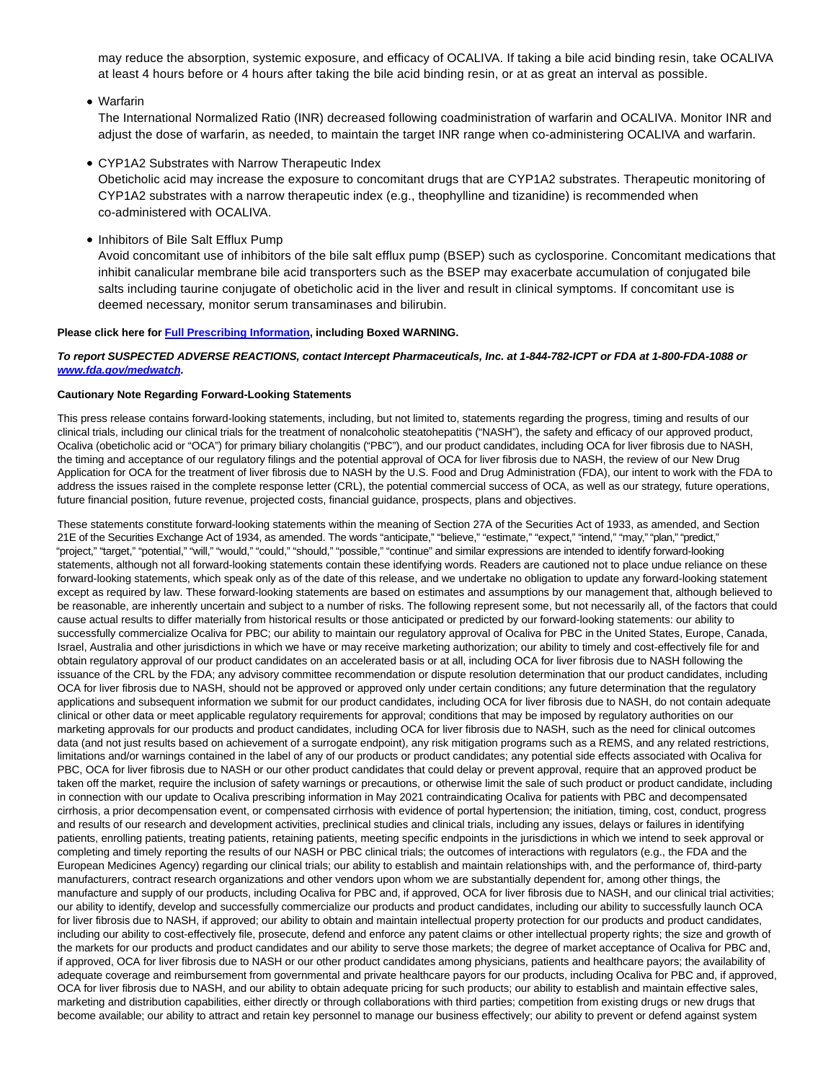may reduce the absorption, systemic exposure, and efficacy of OCALIVA. If taking a bile acid binding resin, take OCALIVA at least 4 hours before or 4 hours after taking the bile acid binding resin, or at as great an interval as possible.

Warfarin

The International Normalized Ratio (INR) decreased following coadministration of warfarin and OCALIVA. Monitor INR and adjust the dose of warfarin, as needed, to maintain the target INR range when co-administering OCALIVA and warfarin.

CYP1A2 Substrates with Narrow Therapeutic Index

Obeticholic acid may increase the exposure to concomitant drugs that are CYP1A2 substrates. Therapeutic monitoring of CYP1A2 substrates with a narrow therapeutic index (e.g., theophylline and tizanidine) is recommended when co-administered with OCALIVA.

• Inhibitors of Bile Salt Efflux Pump

Avoid concomitant use of inhibitors of the bile salt efflux pump (BSEP) such as cyclosporine. Concomitant medications that inhibit canalicular membrane bile acid transporters such as the BSEP may exacerbate accumulation of conjugated bile salts including taurine conjugate of obeticholic acid in the liver and result in clinical symptoms. If concomitant use is deemed necessary, monitor serum transaminases and bilirubin.

## **Please click here for [Full Prescribing Information,](https://www.globenewswire.com/Tracker?data=SLdbpcNUWtQwFys3950a8bgQfCJVD2VVlcf5Sb_Upm_OhRy663eNu-5GgicLKZi2hz1iZKVUQn3J9Q42RdElb-CyuTzoVBsT1BOjGhCiRHqtxXXXTzCEfd3MUsjrs9ZaKwy6reQq5osQvwq-q5heZjNIDIIrJNZDWMIvT7N4F7fdwSl8OD-Q4X5N9jUAltfjTswClU5Na2u_69mxv1I6VDLLiPoDFpLLZeI_TgyWFk6-IQzvgwfnPNBLhrdq5Gydy2WSxi1ceARBv483Lp8CwZ4KhmbVIMRmFYCkTFFmTE3SOz416iKeLQAFIK1bpbMw8-NHCcrPXfRCsFHG8w771HZQs5GWiEDXp4OgJJqjV9qJsgAhmVk9Djg68mksxn6Iz9a6As_96MSaig_4P63oJMclabz3vGxq2tq1EQSBXcE=) including Boxed WARNING.**

**To report SUSPECTED ADVERSE REACTIONS, contact Intercept Pharmaceuticals, Inc. at 1-844-782-ICPT or FDA at 1-800-FDA-1088 or [www.fda.gov/medwatch.](https://www.globenewswire.com/Tracker?data=YJU0vIB5q6uPV2T3LazHtEqSQHwZ9A7k1bmd3H5fTGGi2rUqzhsOAyA2wt9YtnqcfBrNCg_uBk7u4tWWztuC1Vo_w50iOgDGVZwN6dGrwlvG8amJ7WqOLoEXxR1nyBf5mCJKb3QPlNRV9lha4kKg5wXKM023oh6-laiYT_lgbn18maYfrElbUttakUYvVVdGpMpPRttk52Wad64AbKSZvbNx7_x_prEvy-m5hqJUoF4wADSJS_gadbLc_L6cijkSuiLpDPf1OgwmYvtXgzvmpNKm8TrnJO6R48o77BjRDCufV_GeMFGb6LTj243ldmqYCOJBh14uRTun94N7s5ATV5_IJJwqK7Upl7Arf0lml4SQO0YxbSZ3KfLB0wXtYQei)**

#### **Cautionary Note Regarding Forward-Looking Statements**

This press release contains forward-looking statements, including, but not limited to, statements regarding the progress, timing and results of our clinical trials, including our clinical trials for the treatment of nonalcoholic steatohepatitis ("NASH"), the safety and efficacy of our approved product, Ocaliva (obeticholic acid or "OCA") for primary biliary cholangitis ("PBC"), and our product candidates, including OCA for liver fibrosis due to NASH, the timing and acceptance of our regulatory filings and the potential approval of OCA for liver fibrosis due to NASH, the review of our New Drug Application for OCA for the treatment of liver fibrosis due to NASH by the U.S. Food and Drug Administration (FDA), our intent to work with the FDA to address the issues raised in the complete response letter (CRL), the potential commercial success of OCA, as well as our strategy, future operations, future financial position, future revenue, projected costs, financial guidance, prospects, plans and objectives.

These statements constitute forward-looking statements within the meaning of Section 27A of the Securities Act of 1933, as amended, and Section 21E of the Securities Exchange Act of 1934, as amended. The words "anticipate," "believe," "estimate," "expect," "intend," "may," "plan," "predict," "project," "target," "potential," "will," "would," "could," "should," "possible," "continue" and similar expressions are intended to identify forward-looking statements, although not all forward-looking statements contain these identifying words. Readers are cautioned not to place undue reliance on these forward-looking statements, which speak only as of the date of this release, and we undertake no obligation to update any forward-looking statement except as required by law. These forward-looking statements are based on estimates and assumptions by our management that, although believed to be reasonable, are inherently uncertain and subject to a number of risks. The following represent some, but not necessarily all, of the factors that could cause actual results to differ materially from historical results or those anticipated or predicted by our forward-looking statements: our ability to successfully commercialize Ocaliva for PBC; our ability to maintain our regulatory approval of Ocaliva for PBC in the United States, Europe, Canada, Israel, Australia and other jurisdictions in which we have or may receive marketing authorization; our ability to timely and cost-effectively file for and obtain regulatory approval of our product candidates on an accelerated basis or at all, including OCA for liver fibrosis due to NASH following the issuance of the CRL by the FDA; any advisory committee recommendation or dispute resolution determination that our product candidates, including OCA for liver fibrosis due to NASH, should not be approved or approved only under certain conditions; any future determination that the regulatory applications and subsequent information we submit for our product candidates, including OCA for liver fibrosis due to NASH, do not contain adequate clinical or other data or meet applicable regulatory requirements for approval; conditions that may be imposed by regulatory authorities on our marketing approvals for our products and product candidates, including OCA for liver fibrosis due to NASH, such as the need for clinical outcomes data (and not just results based on achievement of a surrogate endpoint), any risk mitigation programs such as a REMS, and any related restrictions, limitations and/or warnings contained in the label of any of our products or product candidates; any potential side effects associated with Ocaliva for PBC, OCA for liver fibrosis due to NASH or our other product candidates that could delay or prevent approval, require that an approved product be taken off the market, require the inclusion of safety warnings or precautions, or otherwise limit the sale of such product or product candidate, including in connection with our update to Ocaliva prescribing information in May 2021 contraindicating Ocaliva for patients with PBC and decompensated cirrhosis, a prior decompensation event, or compensated cirrhosis with evidence of portal hypertension; the initiation, timing, cost, conduct, progress and results of our research and development activities, preclinical studies and clinical trials, including any issues, delays or failures in identifying patients, enrolling patients, treating patients, retaining patients, meeting specific endpoints in the jurisdictions in which we intend to seek approval or completing and timely reporting the results of our NASH or PBC clinical trials; the outcomes of interactions with regulators (e.g., the FDA and the European Medicines Agency) regarding our clinical trials; our ability to establish and maintain relationships with, and the performance of, third-party manufacturers, contract research organizations and other vendors upon whom we are substantially dependent for, among other things, the manufacture and supply of our products, including Ocaliva for PBC and, if approved, OCA for liver fibrosis due to NASH, and our clinical trial activities; our ability to identify, develop and successfully commercialize our products and product candidates, including our ability to successfully launch OCA for liver fibrosis due to NASH, if approved; our ability to obtain and maintain intellectual property protection for our products and product candidates, including our ability to cost-effectively file, prosecute, defend and enforce any patent claims or other intellectual property rights; the size and growth of the markets for our products and product candidates and our ability to serve those markets; the degree of market acceptance of Ocaliva for PBC and, if approved, OCA for liver fibrosis due to NASH or our other product candidates among physicians, patients and healthcare payors; the availability of adequate coverage and reimbursement from governmental and private healthcare payors for our products, including Ocaliva for PBC and, if approved, OCA for liver fibrosis due to NASH, and our ability to obtain adequate pricing for such products; our ability to establish and maintain effective sales, marketing and distribution capabilities, either directly or through collaborations with third parties; competition from existing drugs or new drugs that become available; our ability to attract and retain key personnel to manage our business effectively; our ability to prevent or defend against system